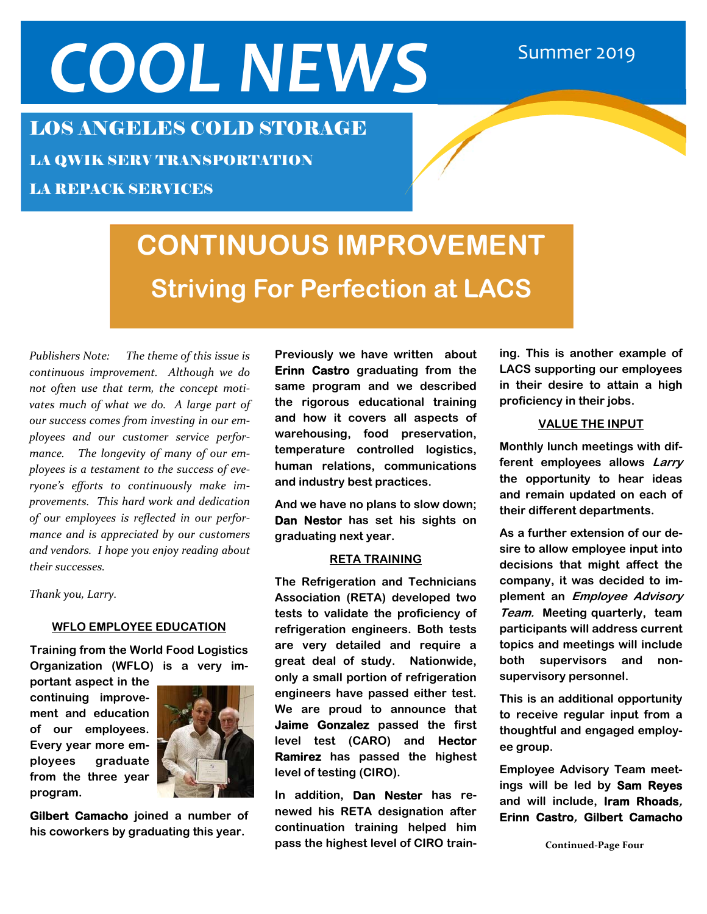# COOL NEWS Summer 2019

## LOS ANGELES COLD STORAGE

LA QWIK SERV TRANSPORTATION

LA REPACK SERVICES

## **CONTINUOUS IMPROVEMENT Striving For Perfection at LACS**

*Publishers Note: The theme of this issue is continuous improvement. Although we do not often use that term, the concept moti‐ vates much of what we do. A large part of our success comes from investing in our em‐ ployees and our customer service perfor‐ mance. The longevity of many of our em‐ ployees is a testament to the success of eve‐ ryone's efforts to continuously make im‐ provements. This hard work and dedication of our employees is reflected in our perfor‐ mance and is appreciated by our customers and vendors. I hope you enjoy reading about their successes.* 

*Thank you, Larry.* 

#### **WFLO EMPLOYEE EDUCATION**

**Training from the World Food Logistics Organization (WFLO) is a very im-**

**portant aspect in the continuing improvement and education of our employees. Every year more employees graduate from the three year program.** 



**Gilbert Camacho joined a number of his coworkers by graduating this year.** 

**Previously we have written about Erinn Castro graduating from the same program and we described the rigorous educational training and how it covers all aspects of warehousing, food preservation, temperature controlled logistics, human relations, communications and industry best practices.** 

**And we have no plans to slow down; Dan Nestor has set his sights on graduating next year.** 

#### **RETA TRAINING**

**The Refrigeration and Technicians Association (RETA) developed two tests to validate the proficiency of refrigeration engineers. Both tests are very detailed and require a great deal of study. Nationwide, only a small portion of refrigeration engineers have passed either test. We are proud to announce that Jaime Gonzalez passed the first level test (CARO) and Hector Ramirez has passed the highest level of testing (CIRO).** 

**In addition, Dan Nester has renewed his RETA designation after continuation training helped him pass the highest level of CIRO train-** **ing. This is another example of LACS supporting our employees in their desire to attain a high proficiency in their jobs.** 

#### **VALUE THE INPUT**

**Monthly lunch meetings with different employees allows Larry the opportunity to hear ideas and remain updated on each of their different departments.** 

**As a further extension of our desire to allow employee input into decisions that might affect the company, it was decided to implement an Employee Advisory Team. Meeting quarterly, team participants will address current topics and meetings will include both supervisors and nonsupervisory personnel.** 

**This is an additional opportunity to receive regular input from a thoughtful and engaged employee group.** 

**Employee Advisory Team meetings will be led by Sam Reyes and will include, Iram Rhoads, Erinn Castro, Gilbert Camacho** 

**Continued‐Page Four**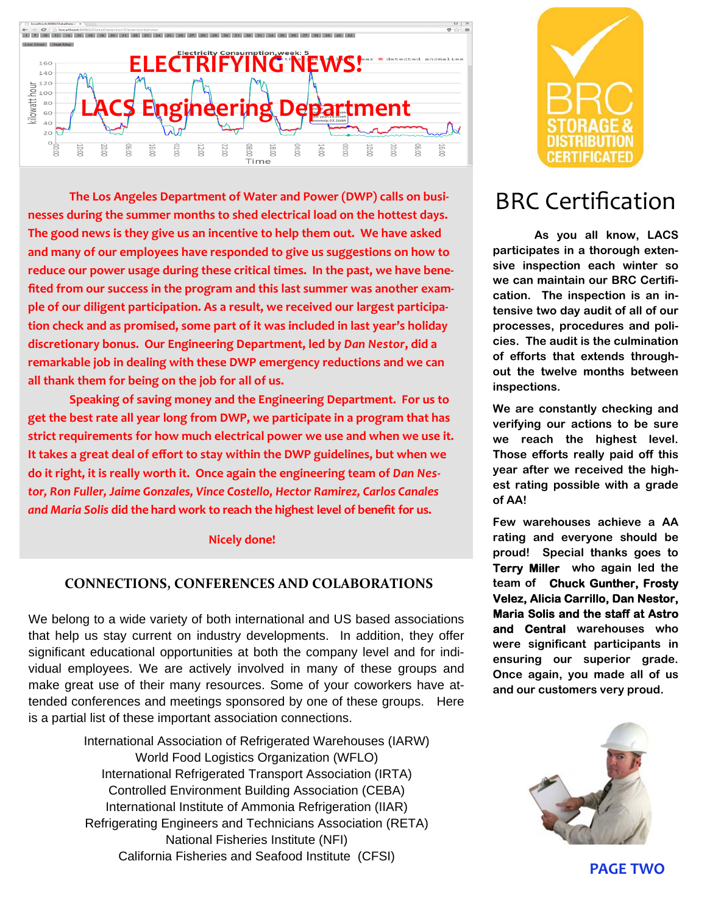

**The Los Angeles Department of Water and Power (DWP) calls on busi‐ nesses during the summer months to shed electrical load on the hottest days. The good news is they give us an incentive to help them out. We have asked and many of our employees have responded to give us suggestions on how to reduce our power usage during these critical times. In the past, we have bene‐ fited from our success in the program and this last summer was another exam‐ ple of our diligent participation. As a result, we received our largest participa‐ tion check and as promised, some part of it was included in last year's holiday discretionary bonus. Our Engineering Department, led by** *Dan Nestor***, did a remarkable job in dealing with these DWP emergency reductions and we can all thank them for being on the job for all of us.**

**Speaking of saving money and the Engineering Department. For us to get the best rate all year long from DWP, we participate in a program that has strict requirements for how much electrical power we use and when we use it. It takes a great deal of effort to stay within the DWP guidelines, but when we do it right, it is really worth it. Once again the engineering team of** *Dan Nes‐ tor, Ron Fuller, Jaime Gonzales, Vince Costello, Hector Ramirez, Carlos Canales and Maria Solis* **did the hard work to reach the highest level of benefit for us.** 

#### **Nicely done!**

### **CONNECTIONS, CONFERENCES AND COLABORATIONS**

We belong to a wide variety of both international and US based associations that help us stay current on industry developments. In addition, they offer significant educational opportunities at both the company level and for individual employees. We are actively involved in many of these groups and make great use of their many resources. Some of your coworkers have attended conferences and meetings sponsored by one of these groups. Here is a partial list of these important association connections.

> International Association of Refrigerated Warehouses (IARW) World Food Logistics Organization (WFLO) International Refrigerated Transport Association (IRTA) Controlled Environment Building Association (CEBA) International Institute of Ammonia Refrigeration (IIAR) Refrigerating Engineers and Technicians Association (RETA) National Fisheries Institute (NFI) California Fisheries and Seafood Institute (CFSI)



## BRC Certification

**As you all know, LACS participates in a thorough extensive inspection each winter so we can maintain our BRC Certification. The inspection is an intensive two day audit of all of our processes, procedures and policies. The audit is the culmination of efforts that extends throughout the twelve months between inspections.** 

**We are constantly checking and verifying our actions to be sure we reach the highest level. Those efforts really paid off this year after we received the highest rating possible with a grade of AA!** 

**Few warehouses achieve a AA rating and everyone should be proud! Special thanks goes to Terry Miller who again led the team of Chuck Gunther, Frosty Velez, Alicia Carrillo, Dan Nestor, Maria Solis and the staff at Astro and Central warehouses who were significant participants in ensuring our superior grade. Once again, you made all of us and our customers very proud.** 



**PAGE TWO**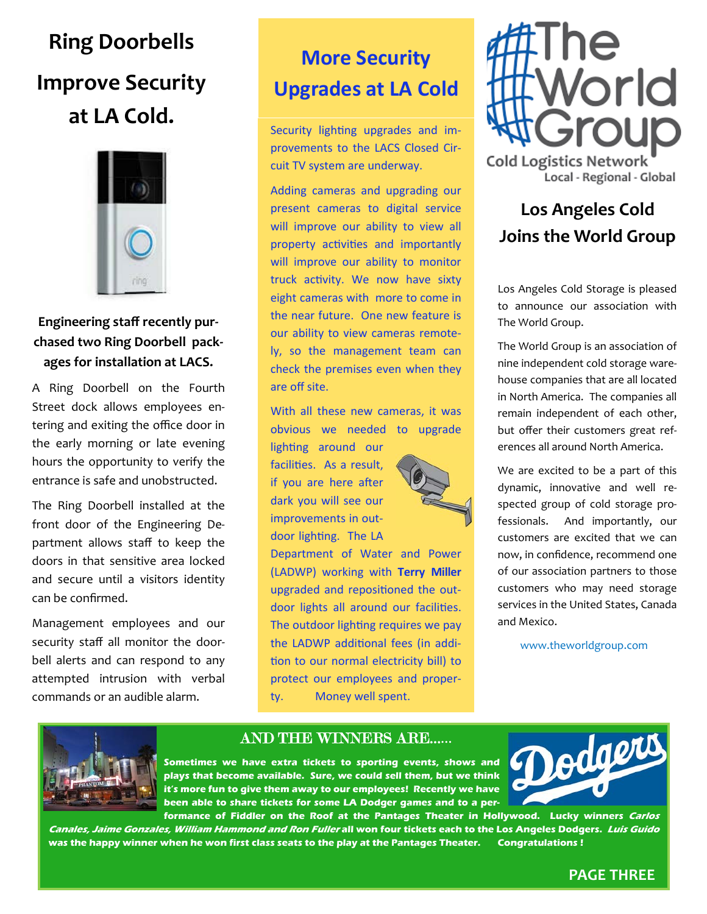## **Ring Doorbells Improve Security at LA Cold.**



## **Engineering staff recently pur‐ chased two Ring Doorbell pack‐ ages for installation at LACS.**

A Ring Doorbell on the Fourth Street dock allows employees entering and exiting the office door in the early morning or late evening hours the opportunity to verify the entrance is safe and unobstructed.

The Ring Doorbell installed at the front door of the Engineering De‐ partment allows staff to keep the doors in that sensitive area locked and secure until a visitors identity can be confirmed.

Management employees and our security staff all monitor the door‐ bell alerts and can respond to any attempted intrusion with verbal commands or an audible alarm.

## **More Security Upgrades at LA Cold**

Security lighting upgrades and improvements to the LACS Closed Circuit TV system are underway.

Adding cameras and upgrading our present cameras to digital service will improve our ability to view all property activities and importantly will improve our ability to monitor truck activity. We now have sixty eight cameras with more to come in the near future. One new feature is our ability to view cameras remotely, so the management team can check the premises even when they are off site.

With all these new cameras, it was obvious we needed to upgrade

lighting around our facilities. As a result. if you are here after dark you will see our improvements in out-

door lighting. The LA

Department of Water and Power (LADWP) working with **Terry Miller**  upgraded and repositioned the outdoor lights all around our facilities. The outdoor lighting requires we pay the LADWP additional fees (in addition to our normal electricity bill) to protect our employees and property. Money well spent.



## **Los Angeles Cold Joins the World Group**

Los Angeles Cold Storage is pleased to announce our association with The World Group.

The World Group is an association of nine independent cold storage ware‐ house companies that are all located in North America. The companies all remain independent of each other, but offer their customers great ref‐ erences all around North America.

We are excited to be a part of this dynamic, innovative and well re‐ spected group of cold storage pro‐ fessionals. And importantly, our customers are excited that we can now, in confidence, recommend one of our association partners to those customers who may need storage services in the United States, Canada and Mexico.

www.theworldgroup.com



## AND THE WINNERS ARE……

**Sometimes we have extra tickets to sporting events, shows and plays that become available. Sure, we could sell them, but we think it's more fun to give them away to our employees! Recently we have been able to share tickets for some LA Dodger games and to a per-**



**formance of Fiddler on the Roof at the Pantages Theater in Hollywood. Lucky winners Carlos Canales, Jaime Gonzales, William Hammond and Ron Fuller all won four tickets each to the Los Angeles Dodgers. Luis Guido was the happy winner when he won first class seats to the play at the Pantages Theater. Congratulations !** 

### **PAGE THREE**

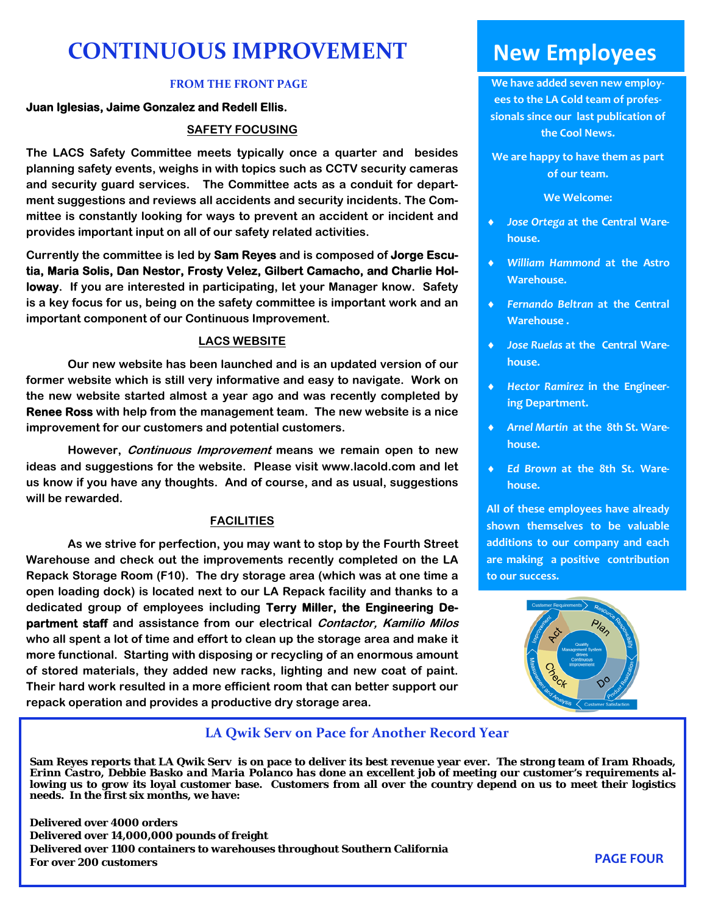## **CONTINUOUS IMPROVEMENT**

#### **FROM THE FRONT PAGE**

#### **Juan Iglesias, Jaime Gonzalez and Redell Ellis.**

#### **SAFETY FOCUSING**

**The LACS Safety Committee meets typically once a quarter and besides planning safety events, weighs in with topics such as CCTV security cameras and security guard services. The Committee acts as a conduit for department suggestions and reviews all accidents and security incidents. The Committee is constantly looking for ways to prevent an accident or incident and provides important input on all of our safety related activities.** 

**Currently the committee is led by Sam Reyes and is composed of Jorge Escutia, Maria Solis, Dan Nestor, Frosty Velez, Gilbert Camacho, and Charlie Holloway. If you are interested in participating, let your Manager know. Safety is a key focus for us, being on the safety committee is important work and an important component of our Continuous Improvement.** 

#### **LACS WEBSITE**

 **Our new website has been launched and is an updated version of our former website which is still very informative and easy to navigate. Work on the new website started almost a year ago and was recently completed by Renee Ross with help from the management team. The new website is a nice improvement for our customers and potential customers.** 

 **However, Continuous Improvement means we remain open to new ideas and suggestions for the website. Please visit www.lacold.com and let us know if you have any thoughts. And of course, and as usual, suggestions will be rewarded.** 

#### **FACILITIES**

 **As we strive for perfection, you may want to stop by the Fourth Street Warehouse and check out the improvements recently completed on the LA Repack Storage Room (F10). The dry storage area (which was at one time a open loading dock) is located next to our LA Repack facility and thanks to a dedicated group of employees including Terry Miller, the Engineering Department staff and assistance from our electrical Contactor, Kamilio Milos who all spent a lot of time and effort to clean up the storage area and make it more functional. Starting with disposing or recycling of an enormous amount of stored materials, they added new racks, lighting and new coat of paint. Their hard work resulted in a more efficient room that can better support our repack operation and provides a productive dry storage area.** 

## **New Employees**

**We have added seven new employ‐ ees to the LA Cold team of profes‐ sionals since our last publication of the Cool News.** 

**We are happy to have them as part of our team.** 

**We Welcome:**

- *Jose Ortega* **at the Central Ware‐ house.**
- *William Hammond* **at the Astro Warehouse.**
- *Fernando Beltran* **at the Central Warehouse .**
- *Jose Ruelas* **at the Central Ware‐ house.**
- *Hector Ramirez* **in the Engineer‐ ing Department.**
- *Arnel Martin* **at the 8th St. Ware‐ house.**
- *Ed Brown* **at the 8th St. Ware‐ house.**

**All of these employees have already shown themselves to be valuable additions to our company and each are making a positive contribution to our success.** 



#### **LA Qwik Serv on Pace for Another Record Year**

**Sam Reyes reports that LA Qwik Serv is on pace to deliver its best revenue year ever. The strong team of** *Iram Rhoads, Erinn Castro, Debbie Basko and Maria Polanco* **has done an excellent job of meeting our customer's requirements allowing us to grow its loyal customer base. Customers from all over the country depend on us to meet their logistics needs. In the first six months, we have:** 

**Delivered over 4000 orders Delivered over 14,000,000 pounds of freight Delivered over 1100 containers to warehouses throughout Southern California For over 200 customers PAGE FOUR**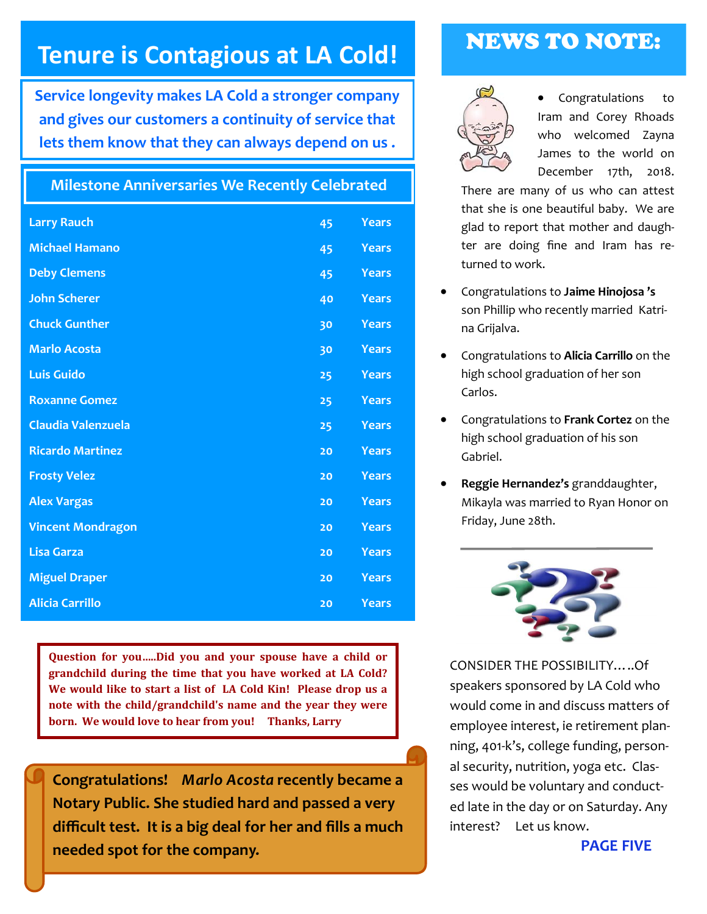## **Tenure is Contagious at LA Cold!**

**Service longevity makes LA Cold a stronger company and gives our customers a continuity of service that lets them know that they can always depend on us .** 

## **Milestone Anniversaries We Recently Celebrated**

| <b>Larry Rauch</b>        | 45 | <b>Years</b> |
|---------------------------|----|--------------|
| <b>Michael Hamano</b>     | 45 | <b>Years</b> |
| <b>Deby Clemens</b>       | 45 | <b>Years</b> |
| <b>John Scherer</b>       | 40 | Years        |
| <b>Chuck Gunther</b>      | 30 | <b>Years</b> |
| <b>Marlo Acosta</b>       | 30 | <b>Years</b> |
| <b>Luis Guido</b>         | 25 | <b>Years</b> |
| <b>Roxanne Gomez</b>      | 25 | <b>Years</b> |
| <b>Claudia Valenzuela</b> | 25 | <b>Years</b> |
| <b>Ricardo Martinez</b>   | 20 | <b>Years</b> |
| <b>Frosty Velez</b>       | 20 | <b>Years</b> |
| <b>Alex Vargas</b>        | 20 | <b>Years</b> |
| <b>Vincent Mondragon</b>  | 20 | <b>Years</b> |
| <b>Lisa Garza</b>         | 20 | <b>Years</b> |
| <b>Miguel Draper</b>      | 20 | <b>Years</b> |
| <b>Alicia Carrillo</b>    | 20 | <b>Years</b> |

**Question for you…..Did you and your spouse have a child or grandchild during the time that you have worked at LA Cold? We would like to start a list of LA Cold Kin! Please drop us a note with the child/grandchild's name and the year they were born. We would love to hear from you! Thanks, Larry**

**Congratulations!** *Marlo Acosta* **recently became a Notary Public. She studied hard and passed a very difficult test. It is a big deal for her and fills a much needed spot for the company.** 

## NEWS TO NOTE:



 Congratulations to Iram and Corey Rhoads who welcomed Zayna James to the world on December 17th, 2018.

There are many of us who can attest that she is one beautiful baby. We are glad to report that mother and daugh‐ ter are doing fine and Iram has re‐ turned to work.

- Congratulations to **Jaime Hinojosa 's** son Phillip who recently married Katri‐ na Grijalva.
- Congratulations to **Alicia Carrillo** on the high school graduation of her son Carlos.
- Congratulations to **Frank Cortez** on the high school graduation of his son Gabriel.
- **Reggie Hernandez's** granddaughter, Mikayla was married to Ryan Honor on Friday, June 28th.



CONSIDER THE POSSIBILITY…..Of speakers sponsored by LA Cold who would come in and discuss matters of employee interest, ie retirement plan‐ ning, 401‐k's, college funding, person‐ al security, nutrition, yoga etc. Clas‐ ses would be voluntary and conduct‐ ed late in the day or on Saturday. Any interest? Let us know.

**PAGE FIVE**